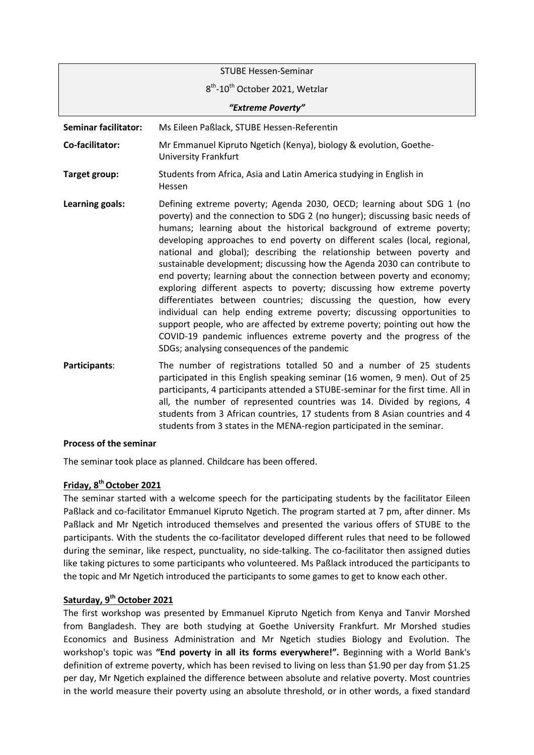| <b>STUBE Hessen-Seminar</b> |                                                                                                                                                                                                                                                                                                                                                                                                                                                                                                                                                                                                                                                                                                                                                                                                                                                                                                                                                                               |
|-----------------------------|-------------------------------------------------------------------------------------------------------------------------------------------------------------------------------------------------------------------------------------------------------------------------------------------------------------------------------------------------------------------------------------------------------------------------------------------------------------------------------------------------------------------------------------------------------------------------------------------------------------------------------------------------------------------------------------------------------------------------------------------------------------------------------------------------------------------------------------------------------------------------------------------------------------------------------------------------------------------------------|
|                             | 8 <sup>th</sup> -10 <sup>th</sup> October 2021, Wetzlar                                                                                                                                                                                                                                                                                                                                                                                                                                                                                                                                                                                                                                                                                                                                                                                                                                                                                                                       |
| "Extreme Poverty"           |                                                                                                                                                                                                                                                                                                                                                                                                                                                                                                                                                                                                                                                                                                                                                                                                                                                                                                                                                                               |
| <b>Seminar facilitator:</b> | Ms Eileen Paßlack, STUBE Hessen-Referentin                                                                                                                                                                                                                                                                                                                                                                                                                                                                                                                                                                                                                                                                                                                                                                                                                                                                                                                                    |
| Co-facilitator:             | Mr Emmanuel Kipruto Ngetich (Kenya), biology & evolution, Goethe-<br><b>University Frankfurt</b>                                                                                                                                                                                                                                                                                                                                                                                                                                                                                                                                                                                                                                                                                                                                                                                                                                                                              |
| Target group:               | Students from Africa, Asia and Latin America studying in English in<br>Hessen                                                                                                                                                                                                                                                                                                                                                                                                                                                                                                                                                                                                                                                                                                                                                                                                                                                                                                 |
| Learning goals:             | Defining extreme poverty; Agenda 2030, OECD; learning about SDG 1 (no<br>poverty) and the connection to SDG 2 (no hunger); discussing basic needs of<br>humans; learning about the historical background of extreme poverty;<br>developing approaches to end poverty on different scales (local, regional,<br>national and global); describing the relationship between poverty and<br>sustainable development; discussing how the Agenda 2030 can contribute to<br>end poverty; learning about the connection between poverty and economy;<br>exploring different aspects to poverty; discussing how extreme poverty<br>differentiates between countries; discussing the question, how every<br>individual can help ending extreme poverty; discussing opportunities to<br>support people, who are affected by extreme poverty; pointing out how the<br>COVID-19 pandemic influences extreme poverty and the progress of the<br>SDGs; analysing consequences of the pandemic |
| Participants:               | The number of registrations totalled 50 and a number of 25 students<br>participated in this English speaking seminar (16 women, 9 men). Out of 25<br>participants, 4 participants attended a STUBE-seminar for the first time. All in<br>all, the number of represented countries was 14. Divided by regions, 4                                                                                                                                                                                                                                                                                                                                                                                                                                                                                                                                                                                                                                                               |

#### **Process of the seminar**

The seminar took place as planned. Childcare has been offered.

## **Friday, 8 thOctober 2021**

The seminar started with a welcome speech for the participating students by the facilitator Eileen Paßlack and co-facilitator Emmanuel Kipruto Ngetich. The program started at 7 pm, after dinner. Ms Paßlack and Mr Ngetich introduced themselves and presented the various offers of STUBE to the participants. With the students the co-facilitator developed different rules that need to be followed during the seminar, like respect, punctuality, no side-talking. The co-facilitator then assigned duties like taking pictures to some participants who volunteered. Ms Paßlack introduced the participants to the topic and Mr Ngetich introduced the participants to some games to get to know each other.

students from 3 African countries, 17 students from 8 Asian countries and 4

students from 3 states in the MENA-region participated in the seminar.

# **Saturday, 9 th October 2021**

The first workshop was presented by Emmanuel Kipruto Ngetich from Kenya and Tanvir Morshed from Bangladesh. They are both studying at Goethe University Frankfurt. Mr Morshed studies Economics and Business Administration and Mr Ngetich studies Biology and Evolution. The workshop's topic was **"End poverty in all its forms everywhere!".** Beginning with a World Bank's definition of extreme poverty, which has been revised to living on less than \$1.90 per day from \$1.25 per day, Mr Ngetich explained the difference between absolute and relative poverty. Most countries in the world measure their poverty using an absolute threshold, or in other words, a fixed standard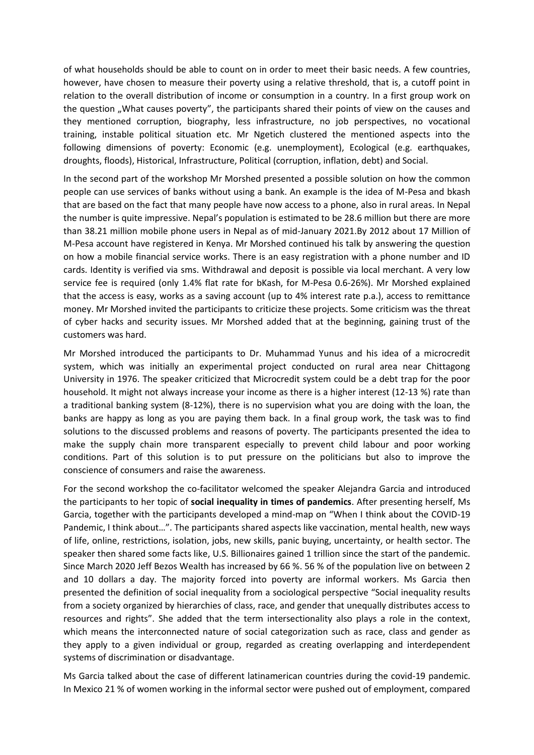of what households should be able to count on in order to meet their basic needs. A few countries, however, have chosen to measure their poverty using a relative threshold, that is, a cutoff point in relation to the overall distribution of income or consumption in a country. In a first group work on the question "What causes poverty", the participants shared their points of view on the causes and they mentioned corruption, biography, less infrastructure, no job perspectives, no vocational training, instable political situation etc. Mr Ngetich clustered the mentioned aspects into the following dimensions of poverty: Economic (e.g. unemployment), Ecological (e.g. earthquakes, droughts, floods), Historical, Infrastructure, Political (corruption, inflation, debt) and Social.

In the second part of the workshop Mr Morshed presented a possible solution on how the common people can use services of banks without using a bank. An example is the idea of M-Pesa and bkash that are based on the fact that many people have now access to a phone, also in rural areas. In Nepal the number is quite impressive. Nepal's population is estimated to be 28.6 million but there are more than 38.21 million mobile phone users in Nepal as of mid-January 2021.By 2012 about 17 Million of M-Pesa account have registered in Kenya. Mr Morshed continued his talk by answering the question on how a mobile financial service works. There is an easy registration with a phone number and ID cards. Identity is verified via sms. Withdrawal and deposit is possible via local merchant. A very low service fee is required (only 1.4% flat rate for bKash, for M-Pesa 0.6-26%). Mr Morshed explained that the access is easy, works as a saving account (up to 4% interest rate p.a.), access to remittance money. Mr Morshed invited the participants to criticize these projects. Some criticism was the threat of cyber hacks and security issues. Mr Morshed added that at the beginning, gaining trust of the customers was hard.

Mr Morshed introduced the participants to Dr. Muhammad Yunus and his idea of a microcredit system, which was initially an experimental project conducted on rural area near Chittagong University in 1976. The speaker criticized that Microcredit system could be a debt trap for the poor household. It might not always increase your income as there is a higher interest (12-13 %) rate than a traditional banking system (8-12%), there is no supervision what you are doing with the loan, the banks are happy as long as you are paying them back. In a final group work, the task was to find solutions to the discussed problems and reasons of poverty. The participants presented the idea to make the supply chain more transparent especially to prevent child labour and poor working conditions. Part of this solution is to put pressure on the politicians but also to improve the conscience of consumers and raise the awareness.

For the second workshop the co-facilitator welcomed the speaker Alejandra Garcia and introduced the participants to her topic of **social inequality in times of pandemics**. After presenting herself, Ms Garcia, together with the participants developed a mind-map on "When I think about the COVID-19 Pandemic, I think about…". The participants shared aspects like vaccination, mental health, new ways of life, online, restrictions, isolation, jobs, new skills, panic buying, uncertainty, or health sector. The speaker then shared some facts like, U.S. Billionaires gained 1 trillion since the start of the pandemic. Since March 2020 Jeff Bezos Wealth has increased by 66 %. 56 % of the population live on between 2 and 10 dollars a day. The majority forced into poverty are informal workers. Ms Garcia then presented the definition of social inequality from a sociological perspective "Social inequality results from a society organized by hierarchies of class, race, and gender that unequally distributes access to resources and rights". She added that the term intersectionality also plays a role in the context, which means the interconnected nature of social categorization such as race, class and gender as they apply to a given individual or group, regarded as creating overlapping and interdependent systems of discrimination or disadvantage.

Ms Garcia talked about the case of different latinamerican countries during the covid-19 pandemic. In Mexico 21 % of women working in the informal sector were pushed out of employment, compared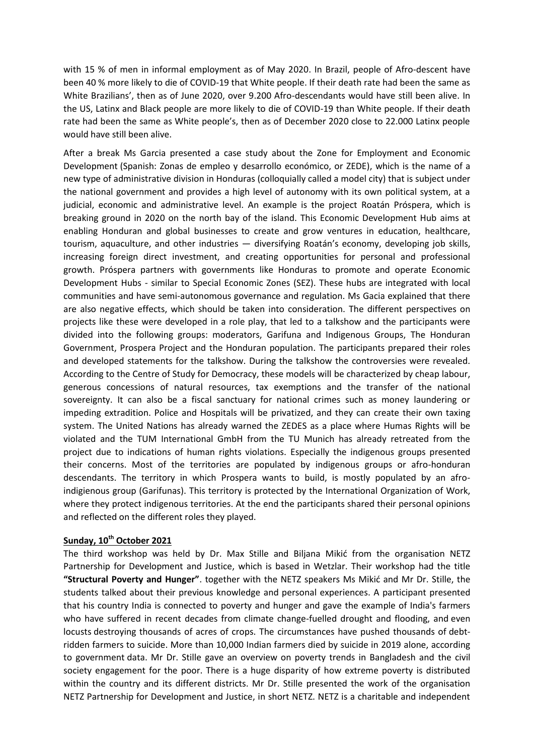with 15 % of men in informal employment as of May 2020. In Brazil, people of Afro-descent have been 40 % more likely to die of COVID-19 that White people. If their death rate had been the same as White Brazilians', then as of June 2020, over 9.200 Afro-descendants would have still been alive. In the US, Latinx and Black people are more likely to die of COVID-19 than White people. If their death rate had been the same as White people's, then as of December 2020 close to 22.000 Latinx people would have still been alive.

After a break Ms Garcia presented a case study about the Zone for Employment and Economic Development (Spanish: Zonas de empleo y desarrollo económico, or ZEDE), which is the name of a new type of administrative division in Honduras (colloquially called a model city) that is subject under the national government and provides a high level of autonomy with its own political system, at a judicial, economic and administrative level. An example is the project Roatán Próspera, which is breaking ground in 2020 on the north bay of the island. This Economic Development Hub aims at enabling Honduran and global businesses to create and grow ventures in education, healthcare, tourism, aquaculture, and other industries — diversifying Roatán's economy, developing job skills, increasing foreign direct investment, and creating opportunities for personal and professional growth. Próspera partners with governments like Honduras to promote and operate Economic Development Hubs - similar to Special Economic Zones (SEZ). These hubs are integrated with local communities and have semi-autonomous governance and regulation. Ms Gacia explained that there are also negative effects, which should be taken into consideration. The different perspectives on projects like these were developed in a role play, that led to a talkshow and the participants were divided into the following groups: moderators, Garifuna and Indigenous Groups, The Honduran Government, Prospera Project and the Honduran population. The participants prepared their roles and developed statements for the talkshow. During the talkshow the controversies were revealed. According to the Centre of Study for Democracy, these models will be characterized by cheap labour, generous concessions of natural resources, tax exemptions and the transfer of the national sovereignty. It can also be a fiscal sanctuary for national crimes such as money laundering or impeding extradition. Police and Hospitals will be privatized, and they can create their own taxing system. The United Nations has already warned the ZEDES as a place where Humas Rights will be violated and the TUM International GmbH from the TU Munich has already retreated from the project due to indications of human rights violations. Especially the indigenous groups presented their concerns. Most of the territories are populated by indigenous groups or afro-honduran descendants. The territory in which Prospera wants to build, is mostly populated by an afroindigienous group (Garifunas). This territory is protected by the International Organization of Work, where they protect indigenous territories. At the end the participants shared their personal opinions and reflected on the different roles they played.

## **Sunday, 10th October 2021**

The third workshop was held by Dr. Max Stille and Biljana Mikić from the organisation NETZ Partnership for Development and Justice, which is based in Wetzlar. Their workshop had the title **"Structural Poverty and Hunger"**. together with the NETZ speakers Ms Mikić and Mr Dr. Stille, the students talked about their previous knowledge and personal experiences. A participant presented that his country India is connected to poverty and hunger and gave the example of India's farmers who have suffered in recent decades from climate change-fuelled drought and flooding, and [even](https://www.cbsnews.com/news/locust-attack-india-amid-coronavirus-covid-19-crisis-and-heat-wave/)  [locusts](https://www.cbsnews.com/news/locust-attack-india-amid-coronavirus-covid-19-crisis-and-heat-wave/) destroying thousands of acres of crops. The circumstances have pushed thousands of [debt](https://www.cbsnews.com/news/farmer-suicides-rise-in-india-as-climate-warms-study-shows/)[ridden farmers to suicide.](https://www.cbsnews.com/news/farmer-suicides-rise-in-india-as-climate-warms-study-shows/) More than 10,000 Indian farmers died by suicide in 2019 alone, according to government [data.](https://ncrb.gov.in/sites/default/files/Chapter-2-Suicides_2019.pdf) Mr Dr. Stille gave an overview on poverty trends in Bangladesh and the civil society engagement for the poor. There is a huge disparity of how extreme poverty is distributed within the country and its different districts. Mr Dr. Stille presented the work of the organisation NETZ Partnership for Development and Justice, in short NETZ. NETZ is a charitable and independent